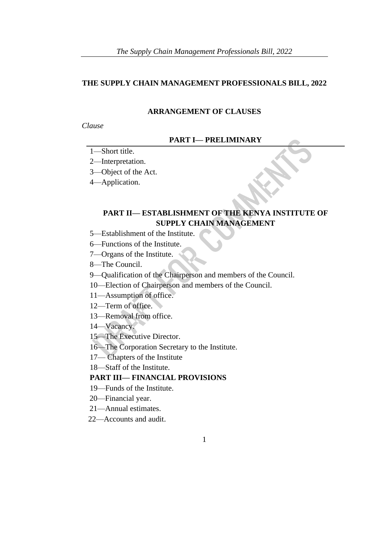### **THE SUPPLY CHAIN MANAGEMENT PROFESSIONALS BILL, 2022**

#### **ARRANGEMENT OF CLAUSES**

#### *Clause*

#### **PART I— PRELIMINARY**

### 1—Short title.

2—Interpretation.

3—Object of the Act.

4—Application.

# **PART II— ESTABLISHMENT OF THE KENYA INSTITUTE OF SUPPLY CHAIN MANAGEMENT**

- 5—Establishment of the Institute.
- 6—Functions of the Institute.
- 7—Organs of the Institute.
- 8—The Council.
- 9—Qualification of the Chairperson and members of the Council.
- 10—Election of Chairperson and members of the Council.
- 11—Assumption of office.
- 12—Term of office.
- 13—Removal from office.
- 14—Vacancy.
- 15—The Executive Director.
- 16—The Corporation Secretary to the Institute.
- 17— Chapters of the Institute
- 18—Staff of the Institute.

### **PART III— FINANCIAL PROVISIONS**

- 19—Funds of the Institute.
- 20—Financial year.
- 21—Annual estimates.
- 22—Accounts and audit.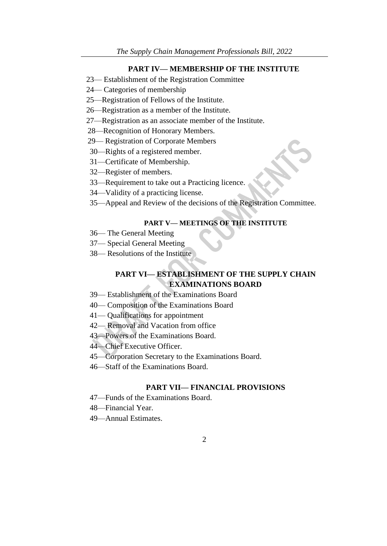#### **PART IV— MEMBERSHIP OF THE INSTITUTE**

- 23— Establishment of the Registration Committee
- 24— Categories of membership
- 25—Registration of Fellows of the Institute.
- 26—Registration as a member of the Institute.
- 27—Registration as an associate member of the Institute.
- 28—Recognition of Honorary Members.
- 29— Registration of Corporate Members
- 30—Rights of a registered member.
- 31—Certificate of Membership.
- 32—Register of members.
- 33—Requirement to take out a Practicing licence.
- 34—Validity of a practicing license.
- 35—Appeal and Review of the decisions of the Registration Committee.

#### **PART V— MEETINGS OF THE INSTITUTE**

- 36— The General Meeting
- 37— Special General Meeting
- 38— Resolutions of the Institute

### **PART VI— ESTABLISHMENT OF THE SUPPLY CHAIN EXAMINATIONS BOARD**

- 39— Establishment of the Examinations Board
- 40— Composition of the Examinations Board
- 41— Qualifications for appointment
- 42— Removal and Vacation from office
- 43—Powers of the Examinations Board.
- 44—Chief Executive Officer.
- 45—Corporation Secretary to the Examinations Board.
- 46—Staff of the Examinations Board.

#### **PART VII— FINANCIAL PROVISIONS**

- 47—Funds of the Examinations Board.
- 48—Financial Year.
- 49—Annual Estimates.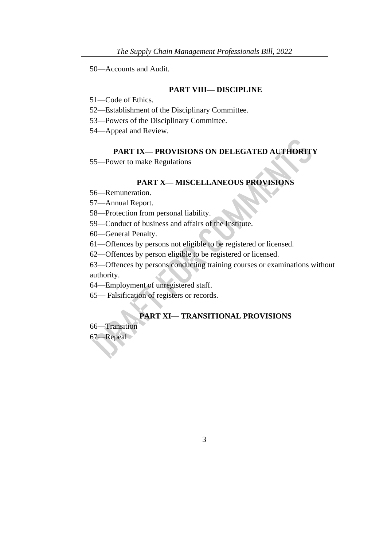50—Accounts and Audit.

### **PART VIII— DISCIPLINE**

- 51—Code of Ethics.
- 52—Establishment of the Disciplinary Committee.
- 53—Powers of the Disciplinary Committee.
- 54—Appeal and Review.

#### **PART IX— PROVISIONS ON DELEGATED AUTHORITY**

55—Power to make Regulations

#### **PART X— MISCELLANEOUS PROVISIONS**

- 56—Remuneration.
- 57—Annual Report.
- 58—Protection from personal liability.
- 59—Conduct of business and affairs of the Institute.
- 60—General Penalty.
- 61—Offences by persons not eligible to be registered or licensed.
- 62—Offences by person eligible to be registered or licensed.

63—Offences by persons conducting training courses or examinations without authority.

- 64—Employment of unregistered staff.
- 65— Falsification of registers or records.

# **PART XI— TRANSITIONAL PROVISIONS**

66—Transition

67—Repeal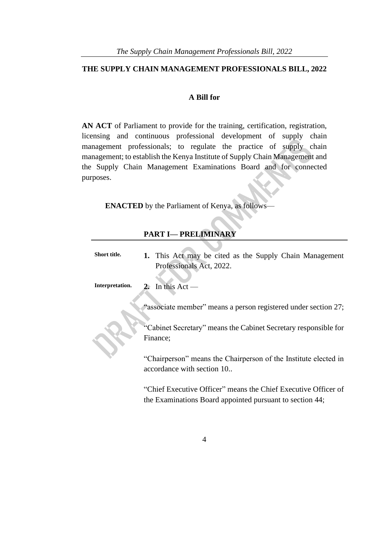### **THE SUPPLY CHAIN MANAGEMENT PROFESSIONALS BILL, 2022**

### **A Bill for**

**AN ACT** of Parliament to provide for the training, certification, registration, licensing and continuous professional development of supply chain management professionals; to regulate the practice of supply chain management; to establish the Kenya Institute of Supply Chain Management and the Supply Chain Management Examinations Board and for connected purposes.

**ENACTED** by the Parliament of Kenya, as follows-

### **PART I— PRELIMINARY**

| 1. This Act may be cited as the Supply Chain Management                                        |
|------------------------------------------------------------------------------------------------|
| Professionals Act, 2022.                                                                       |
|                                                                                                |
| 2. In this Act —                                                                               |
| "associate member" means a person registered under section 27;                                 |
| "Cabinet Secretary" means the Cabinet Secretary responsible for                                |
| Finance;                                                                                       |
| "Chairperson" means the Chairperson of the Institute elected in<br>accordance with section 10. |
|                                                                                                |

"Chief Executive Officer" means the Chief Executive Officer of the Examinations Board appointed pursuant to section 44;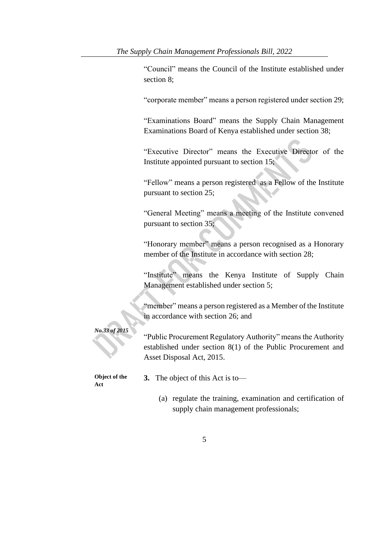"Council" means the Council of the Institute established under section 8;

"corporate member" means a person registered under section 29;

"Examinations Board" means the Supply Chain Management Examinations Board of Kenya established under section 38;

"Executive Director" means the Executive Director of the Institute appointed pursuant to section 15;

"Fellow" means a person registered as a Fellow of the Institute pursuant to section 25;

"General Meeting" means a meeting of the Institute convened pursuant to section 35;

"Honorary member" means a person recognised as a Honorary member of the Institute in accordance with section 28;

"Institute" means the Kenya Institute of Supply Chain Management established under section 5;

"member" means a person registered as a Member of the Institute in accordance with section 26; and

"Public Procurement Regulatory Authority" means the Authority established under section 8(1) of the Public Procurement and Asset Disposal Act, 2015.

**Object of the Act**

*No.33 of 2015*

**3.** The object of this Act is to—

(a) regulate the training, examination and certification of supply chain management professionals;

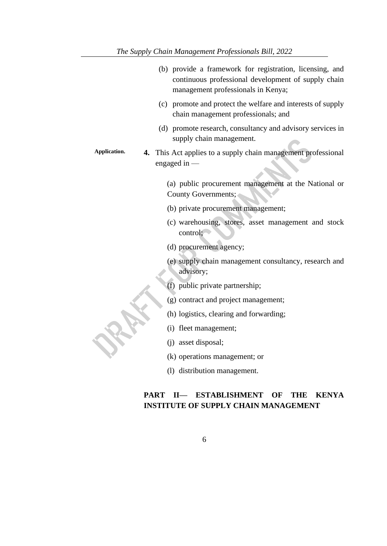| (b) provide a framework for registration, licensing, and<br>continuous professional development of supply chain<br>management professionals in Kenya; |
|-------------------------------------------------------------------------------------------------------------------------------------------------------|
| (c) promote and protect the welfare and interests of supply<br>chain management professionals; and                                                    |
| (d) promote research, consultancy and advisory services in<br>supply chain management.                                                                |
| Application.<br>4. This Act applies to a supply chain management professional<br>engaged in $-$                                                       |
| (a) public procurement management at the National or<br><b>County Governments;</b>                                                                    |
| (b) private procurement management;                                                                                                                   |
| (c) warehousing, stores, asset management and stock<br>control;                                                                                       |
| (d) procurement agency;                                                                                                                               |
| (e) supply chain management consultancy, research and<br>advisory;                                                                                    |
| (f) public private partnership;                                                                                                                       |
| (g) contract and project management;                                                                                                                  |
| (h) logistics, clearing and forwarding;                                                                                                               |
| (i) fleet management;                                                                                                                                 |
| (j) asset disposal;                                                                                                                                   |
| (k) operations management; or                                                                                                                         |
| (l) distribution management.                                                                                                                          |

# **PART II— ESTABLISHMENT OF THE KENYA INSTITUTE OF SUPPLY CHAIN MANAGEMENT**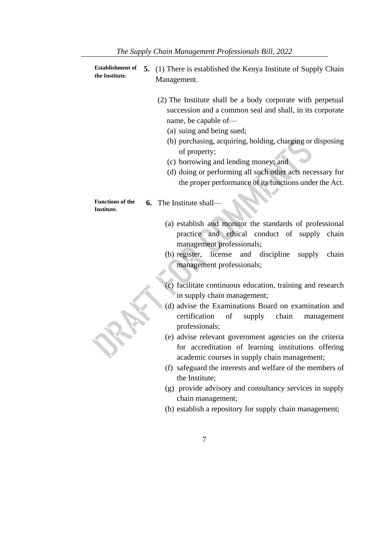| <b>Establishment of</b><br>the Institute. | 5. (1) There is established the Kenya Institute of Supply Chain<br>Management.                                                                                                                                                                                                                                                                                                                                          |
|-------------------------------------------|-------------------------------------------------------------------------------------------------------------------------------------------------------------------------------------------------------------------------------------------------------------------------------------------------------------------------------------------------------------------------------------------------------------------------|
|                                           | (2) The Institute shall be a body corporate with perpetual<br>succession and a common seal and shall, in its corporate<br>name, be capable of-<br>(a) suing and being sued;<br>(b) purchasing, acquiring, holding, charging or disposing<br>of property;<br>(c) borrowing and lending money; and<br>(d) doing or performing all such other acts necessary for<br>the proper performance of its functions under the Act. |
| <b>Functions of the</b><br>Institute.     | 6. The Institute shall-                                                                                                                                                                                                                                                                                                                                                                                                 |
|                                           | (a) establish and monitor the standards of professional<br>practice and ethical conduct of supply chain<br>management professionals;<br>(b) register, license and discipline<br>supply<br>chain<br>management professionals;<br>(c) facilitate continuous education, training and research                                                                                                                              |
|                                           | in supply chain management;<br>(d) advise the Examinations Board on examination and<br>certification<br>of supply chain<br>management                                                                                                                                                                                                                                                                                   |
|                                           | professionals;<br>(e) advise relevant government agencies on the criteria<br>for accreditation of learning institutions offering<br>academic courses in supply chain management;                                                                                                                                                                                                                                        |
|                                           | (f) safeguard the interests and welfare of the members of<br>the Institute;                                                                                                                                                                                                                                                                                                                                             |
|                                           | (g) provide advisory and consultancy services in supply<br>chain management;                                                                                                                                                                                                                                                                                                                                            |

- (h) establish a repository for supply chain management;
	- 7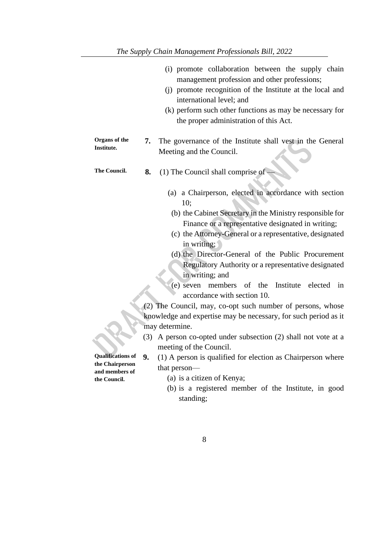|                                | (i) promote collaboration between the supply chain<br>management profession and other professions;<br>(j) promote recognition of the Institute at the local and<br>international level; and<br>(k) perform such other functions as may be necessary for<br>the proper administration of this Act. |
|--------------------------------|---------------------------------------------------------------------------------------------------------------------------------------------------------------------------------------------------------------------------------------------------------------------------------------------------|
| Organs of the                  | The governance of the Institute shall vest in the General<br>7.                                                                                                                                                                                                                                   |
| Institute.                     | Meeting and the Council.                                                                                                                                                                                                                                                                          |
| The Council.                   | (1) The Council shall comprise of<br>8.                                                                                                                                                                                                                                                           |
|                                | (a) a Chairperson, elected in accordance with section<br>10:                                                                                                                                                                                                                                      |
|                                | (b) the Cabinet Secretary in the Ministry responsible for<br>Finance or a representative designated in writing;<br>(c) the Attorney-General or a representative, designated<br>in writing;                                                                                                        |
|                                | (d) the Director-General of the Public Procurement<br>Regulatory Authority or a representative designated<br>in writing; and<br>$(e)$ seven<br>members<br>of the<br>Institute<br>elected<br>in<br>accordance with section 10.                                                                     |
|                                | (2) The Council, may, co-opt such number of persons, whose                                                                                                                                                                                                                                        |
|                                | knowledge and expertise may be necessary, for such period as it                                                                                                                                                                                                                                   |
|                                | may determine.                                                                                                                                                                                                                                                                                    |
|                                | A person co-opted under subsection (2) shall not vote at a<br>(3)                                                                                                                                                                                                                                 |
|                                | meeting of the Council.                                                                                                                                                                                                                                                                           |
| <b>Qualifications of</b>       | 9.<br>(1) A person is qualified for election as Chairperson where                                                                                                                                                                                                                                 |
| the Chairperson                | that person—                                                                                                                                                                                                                                                                                      |
| and members of<br>the Council. | (a) is a citizen of Kenya;                                                                                                                                                                                                                                                                        |
|                                | (b) is a registered member of the Institute, in good                                                                                                                                                                                                                                              |

standing;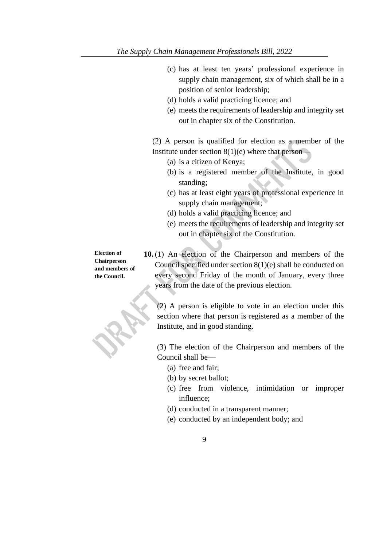- (c) has at least ten years' professional experience in supply chain management, six of which shall be in a position of senior leadership;
- (d) holds a valid practicing licence; and
- (e) meets the requirements of leadership and integrity set out in chapter six of the Constitution.

(2) A person is qualified for election as a member of the Institute under section  $8(1)(e)$  where that person—

- (a) is a citizen of Kenya;
- (b) is a registered member of the Institute, in good standing;
- (c) has at least eight years of professional experience in supply chain management;
- (d) holds a valid practicing licence; and
- (e) meets the requirements of leadership and integrity set out in chapter six of the Constitution.

**Election of Chairperson and members of the Council.**

**10.** (1) An election of the Chairperson and members of the Council specified under section 8(1)(e) shall be conducted on every second Friday of the month of January, every three years from the date of the previous election.

(2) A person is eligible to vote in an election under this section where that person is registered as a member of the Institute, and in good standing.

(3) The election of the Chairperson and members of the Council shall be—

- (a) free and fair;
- (b) by secret ballot;
- (c) free from violence, intimidation or improper influence;
- (d) conducted in a transparent manner;
- (e) conducted by an independent body; and
	- 9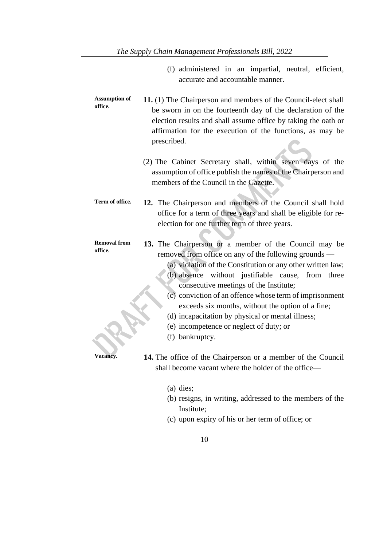- (f) administered in an impartial, neutral, efficient, accurate and accountable manner.
- **Assumption of office. 11.** (1) The Chairperson and members of the Council-elect shall be sworn in on the fourteenth day of the declaration of the election results and shall assume office by taking the oath or affirmation for the execution of the functions, as may be prescribed.
	- (2) The Cabinet Secretary shall, within seven days of the assumption of office publish the names of the Chairperson and members of the Council in the Gazette.
- **Term of office. 12.** The Chairperson and members of the Council shall hold office for a term of three years and shall be eligible for reelection for one further term of three years.

#### **Removal from office. 13.** The Chairperson or a member of the Council may be removed from office on any of the following grounds —

- (a) violation of the Constitution or any other written law;
- (b) absence without justifiable cause, from three consecutive meetings of the Institute;
- (c) conviction of an offence whose term of imprisonment exceeds six months, without the option of a fine;
- (d) incapacitation by physical or mental illness;
- (e) incompetence or neglect of duty; or
- (f) bankruptcy.

- **Vacancy. 14.** The office of the Chairperson or a member of the Council shall become vacant where the holder of the office—
	- (a) dies;
	- (b) resigns, in writing, addressed to the members of the Institute;
	- (c) upon expiry of his or her term of office; or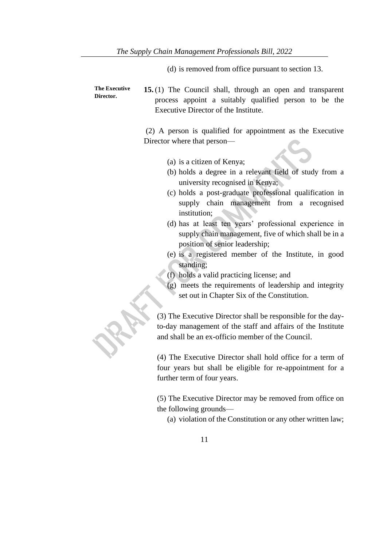- (d) is removed from office pursuant to section 13.
- **The Executive Director. 15.** (1) The Council shall, through an open and transparent process appoint a suitably qualified person to be the Executive Director of the Institute.

(2) A person is qualified for appointment as the Executive Director where that person—

- (a) is a citizen of Kenya;
- (b) holds a degree in a relevant field of study from a university recognised in Kenya;
- (c) holds a post-graduate professional qualification in supply chain management from a recognised institution;
- (d) has at least ten years' professional experience in supply chain management, five of which shall be in a position of senior leadership;
- (e) is a registered member of the Institute, in good standing;
- (f) holds a valid practicing license; and
- (g) meets the requirements of leadership and integrity set out in Chapter Six of the Constitution.

(3) The Executive Director shall be responsible for the dayto-day management of the staff and affairs of the Institute and shall be an ex-officio member of the Council.

(4) The Executive Director shall hold office for a term of four years but shall be eligible for re-appointment for a further term of four years.

(5) The Executive Director may be removed from office on the following grounds—

(a) violation of the Constitution or any other written law;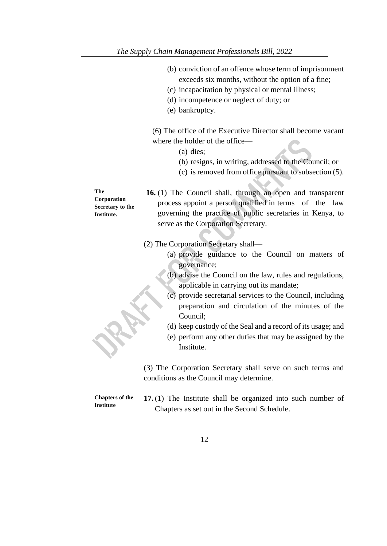- (b) conviction of an offence whose term of imprisonment exceeds six months, without the option of a fine;
- (c) incapacitation by physical or mental illness;
- (d) incompetence or neglect of duty; or
- (e) bankruptcy.

(6) The office of the Executive Director shall become vacant where the holder of the office—

- (a) dies;
- (b) resigns, in writing, addressed to the Council; or
- (c) is removed from office pursuant to subsection (5).

**16.** (1) The Council shall, through an open and transparent process appoint a person qualified in terms of the law governing the practice of public secretaries in Kenya, to serve as the Corporation Secretary.

(2) The Corporation Secretary shall—

- (a) provide guidance to the Council on matters of governance;
- (b) advise the Council on the law, rules and regulations, applicable in carrying out its mandate;
- (c) provide secretarial services to the Council, including preparation and circulation of the minutes of the Council;
- (d) keep custody of the Seal and a record of its usage; and
- (e) perform any other duties that may be assigned by the Institute.

(3) The Corporation Secretary shall serve on such terms and conditions as the Council may determine.

**Chapters of the Institute**

**17.** (1) The Institute shall be organized into such number of Chapters as set out in the Second Schedule.

12

**The Corporation Secretary to the Institute.**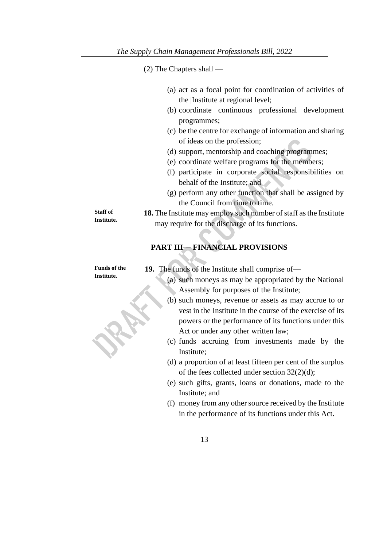(2) The Chapters shall —

|  |                                  | (a) act as a focal point for coordination of activities of |  |  |
|--|----------------------------------|------------------------------------------------------------|--|--|
|  | the Institute at regional level; |                                                            |  |  |

- (b) coordinate continuous professional development programmes;
- (c) be the centre for exchange of information and sharing of ideas on the profession;
- (d) support, mentorship and coaching programmes;
- (e) coordinate welfare programs for the members;
- (f) participate in corporate social responsibilities on behalf of the Institute; and
- (g) perform any other function that shall be assigned by the Council from time to time.

**18.** The Institute may employ such number of staff as the Institute may require for the discharge of its functions.

# **PART III— FINANCIAL PROVISIONS**

**Funds of the Institute.**

**Staff of Institute.** 

**19.** The funds of the Institute shall comprise of—

- (a) such moneys as may be appropriated by the National Assembly for purposes of the Institute;
- (b) such moneys, revenue or assets as may accrue to or vest in the Institute in the course of the exercise of its powers or the performance of its functions under this Act or under any other written law;
- (c) funds accruing from investments made by the Institute;
- (d) a proportion of at least fifteen per cent of the surplus of the fees collected under section 32(2)(d);
- (e) such gifts, grants, loans or donations, made to the Institute; and
- (f) money from any other source received by the Institute in the performance of its functions under this Act.
	- 13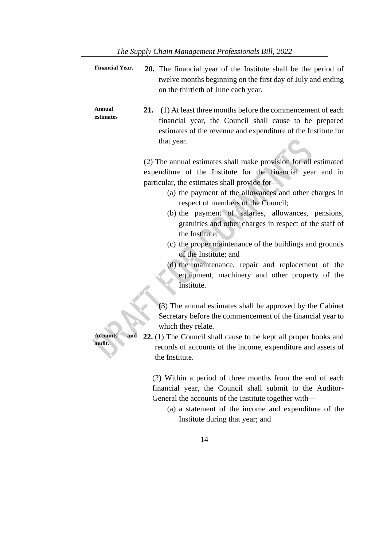| <b>Financial Year.</b>           | 20. The financial year of the Institute shall be the period of<br>twelve months beginning on the first day of July and ending<br>on the thirtieth of June each year.                                                                                                                                                                                                                                                                                                                                                                                                                                                       |
|----------------------------------|----------------------------------------------------------------------------------------------------------------------------------------------------------------------------------------------------------------------------------------------------------------------------------------------------------------------------------------------------------------------------------------------------------------------------------------------------------------------------------------------------------------------------------------------------------------------------------------------------------------------------|
| Annual<br>estimates              | 21. (1) At least three months before the commencement of each<br>financial year, the Council shall cause to be prepared<br>estimates of the revenue and expenditure of the Institute for<br>that year.                                                                                                                                                                                                                                                                                                                                                                                                                     |
|                                  | (2) The annual estimates shall make provision for all estimated<br>expenditure of the Institute for the financial year and in<br>particular, the estimates shall provide for-<br>(a) the payment of the allowances and other charges in<br>respect of members of the Council;<br>(b) the payment of salaries, allowances, pensions,<br>gratuities and other charges in respect of the staff of<br>the Institute;<br>(c) the proper maintenance of the buildings and grounds<br>of the Institute; and<br>(d) the maintenance, repair and replacement of the<br>equipment, machinery and other property of the<br>Institute. |
| <b>Accounts</b><br>and<br>audit. | (3) The annual estimates shall be approved by the Cabinet<br>Secretary before the commencement of the financial year to<br>which they relate.<br>22. (1) The Council shall cause to be kept all proper books and<br>records of accounts of the income, expenditure and assets of<br>the Institute.                                                                                                                                                                                                                                                                                                                         |
|                                  | (2) Within a period of three months from the end of each                                                                                                                                                                                                                                                                                                                                                                                                                                                                                                                                                                   |

financial year, the Council shall submit to the Auditor-General the accounts of the Institute together with—

(a) a statement of the income and expenditure of the Institute during that year; and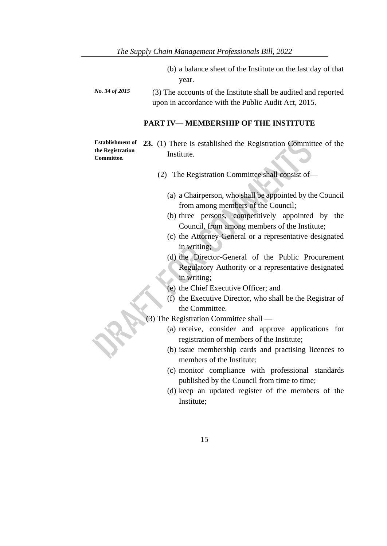- (b) a balance sheet of the Institute on the last day of that year.
- *No. 34 of 2015* (3) The accounts of the Institute shall be audited and reported upon in accordance with the Public Audit Act, 2015.

#### **PART IV— MEMBERSHIP OF THE INSTITUTE**

**Establishment of the Registration Committee.**

- **23.** (1) There is established the Registration Committee of the Institute.
	- (2) The Registration Committee shall consist of—
		- (a) a Chairperson, who shall be appointed by the Council from among members of the Council;
		- (b) three persons, competitively appointed by the Council, from among members of the Institute;
		- (c) the Attorney-General or a representative designated in writing;
		- (d) the Director-General of the Public Procurement Regulatory Authority or a representative designated in writing;
		- (e) the Chief Executive Officer; and
		- (f) the Executive Director, who shall be the Registrar of the Committee.
- (3) The Registration Committee shall
	- (a) receive, consider and approve applications for registration of members of the Institute;
	- (b) issue membership cards and practising licences to members of the Institute;
	- (c) monitor compliance with professional standards published by the Council from time to time;
	- (d) keep an updated register of the members of the Institute;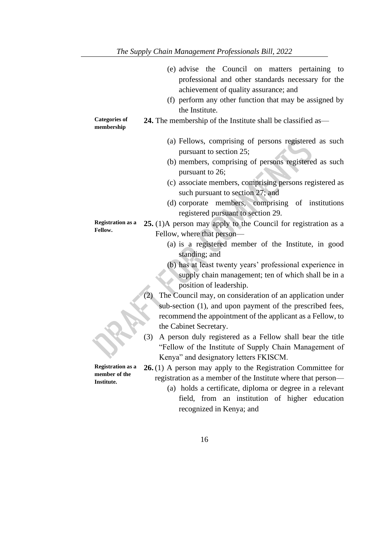|                                    | (e) advise the Council on matters pertaining to<br>professional and other standards necessary for the                      |
|------------------------------------|----------------------------------------------------------------------------------------------------------------------------|
|                                    | achievement of quality assurance; and                                                                                      |
|                                    | (f) perform any other function that may be assigned by                                                                     |
|                                    | the Institute.                                                                                                             |
| <b>Categories of</b><br>membership | <b>24.</b> The membership of the Institute shall be classified as—                                                         |
|                                    | (a) Fellows, comprising of persons registered as such<br>pursuant to section 25;                                           |
|                                    | (b) members, comprising of persons registered as such<br>pursuant to 26;                                                   |
|                                    | (c) associate members, comprising persons registered as<br>such pursuant to section 27; and                                |
|                                    | (d) corporate members, comprising of institutions                                                                          |
|                                    | registered pursuant to section 29.                                                                                         |
| <b>Registration as a</b>           | 25. (1)A person may apply to the Council for registration as a                                                             |
| Fellow.                            | Fellow, where that person—                                                                                                 |
|                                    | (a) is a registered member of the Institute, in good<br>standing; and                                                      |
|                                    | (b) has at least twenty years' professional experience in                                                                  |
|                                    | supply chain management; ten of which shall be in a                                                                        |
|                                    | position of leadership.                                                                                                    |
|                                    | The Council may, on consideration of an application under<br>(2)                                                           |
|                                    | sub-section (1), and upon payment of the prescribed fees,                                                                  |
|                                    | recommend the appointment of the applicant as a Fellow, to                                                                 |
|                                    | the Cabinet Secretary.                                                                                                     |
|                                    | (3)<br>A person duly registered as a Fellow shall bear the title<br>"Fellow of the Institute of Supply Chain Management of |
|                                    | Kenya" and designatory letters FKISCM.                                                                                     |
| <b>Registration as a</b>           | 26.(1) A person may apply to the Registration Committee for                                                                |
| member of the<br>Institute.        | registration as a member of the Institute where that person—                                                               |
|                                    | (a) holds a certificate, diploma or degree in a relevant                                                                   |
|                                    | field, from an institution of higher education                                                                             |
|                                    | recognized in Kenya; and                                                                                                   |
|                                    |                                                                                                                            |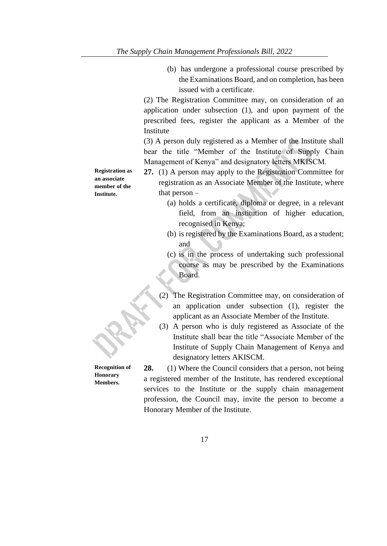(b) has undergone a professional course prescribed by the Examinations Board, and on completion, has been issued with a certificate.

(2) The Registration Committee may, on consideration of an application under subsection (1), and upon payment of the prescribed fees, register the applicant as a Member of the Institute

(3) A person duly registered as a Member of the Institute shall bear the title "Member of the Institute of Supply Chain Management of Kenya" and designatory letters MKISCM.

**27.** (1) A person may apply to the Registration Committee for registration as an Associate Member of the Institute, where that person –

- (a) holds a certificate, diploma or degree, in a relevant field, from an institution of higher education, recognised in Kenya;
- (b) is registered by the Examinations Board, as a student; and
- (c) is in the process of undertaking such professional course as may be prescribed by the Examinations Board.
- (2) The Registration Committee may, on consideration of an application under subsection (1), register the applicant as an Associate Member of the Institute.
- (3) A person who is duly registered as Associate of the Institute shall bear the title "Associate Member of the Institute of Supply Chain Management of Kenya and designatory letters AKISCM.

**28.** (1) Where the Council considers that a person, not being a registered member of the Institute, has rendered exceptional services to the Institute or the supply chain management profession, the Council may, invite the person to become a Honorary Member of the Institute.

**Registration as an associate member of the Institute.**

**Recognition of Honorary Members.**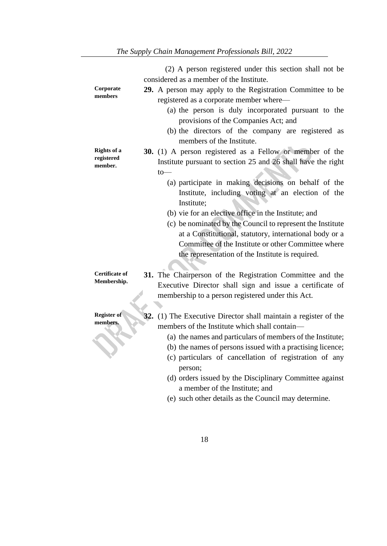|                       | (2) A person registered under this section shall not be                                   |
|-----------------------|-------------------------------------------------------------------------------------------|
|                       | considered as a member of the Institute.                                                  |
| Corporate             | 29. A person may apply to the Registration Committee to be                                |
| members               | registered as a corporate member where-                                                   |
|                       | (a) the person is duly incorporated pursuant to the                                       |
|                       | provisions of the Companies Act; and                                                      |
|                       | (b) the directors of the company are registered as                                        |
|                       | members of the Institute.                                                                 |
| <b>Rights of a</b>    | <b>30.</b> (1) A person registered as a Fellow or member of the                           |
| registered            | Institute pursuant to section 25 and 26 shall have the right                              |
| member.               | $to-$                                                                                     |
|                       | (a) participate in making decisions on behalf of the                                      |
|                       | Institute, including voting at an election of the                                         |
|                       | Institute;                                                                                |
|                       | (b) vie for an elective office in the Institute; and                                      |
|                       | (c) be nominated by the Council to represent the Institute                                |
|                       | at a Constitutional, statutory, international body or a                                   |
|                       | Committee of the Institute or other Committee where                                       |
|                       | the representation of the Institute is required.                                          |
|                       |                                                                                           |
| <b>Certificate of</b> | 31. The Chairperson of the Registration Committee and the                                 |
| Membership.           | Executive Director shall sign and issue a certificate of                                  |
|                       | membership to a person registered under this Act.                                         |
|                       |                                                                                           |
| Register of           | 32. (1) The Executive Director shall maintain a register of the                           |
| members.              | members of the Institute which shall contain—                                             |
|                       | (a) the names and particulars of members of the Institute;                                |
|                       | (b) the names of persons issued with a practising licence;                                |
|                       | (c) particulars of cancellation of registration of any                                    |
|                       | person;                                                                                   |
|                       | (d) orders issued by the Disciplinary Committee against<br>a member of the Institute; and |
|                       |                                                                                           |

(e) such other details as the Council may determine.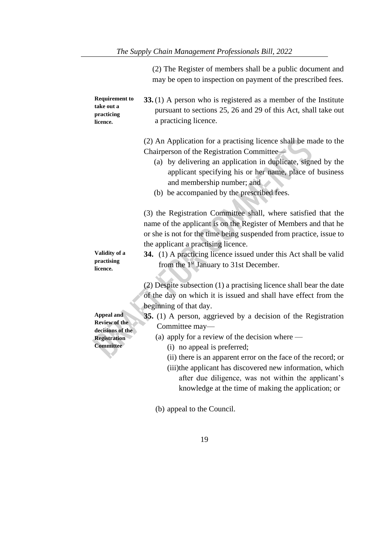|                                                                               | (2) The Register of members shall be a public document and<br>may be open to inspection on payment of the prescribed fees.                                                                                                                                                                                           |
|-------------------------------------------------------------------------------|----------------------------------------------------------------------------------------------------------------------------------------------------------------------------------------------------------------------------------------------------------------------------------------------------------------------|
| <b>Requirement to</b><br>take out a<br>practicing<br>licence.                 | 33. (1) A person who is registered as a member of the Institute<br>pursuant to sections 25, 26 and 29 of this Act, shall take out<br>a practicing licence.                                                                                                                                                           |
|                                                                               | (2) An Application for a practising licence shall be made to the<br>Chairperson of the Registration Committee<br>(a) by delivering an application in duplicate, signed by the<br>applicant specifying his or her name, place of business<br>and membership number; and<br>(b) be accompanied by the prescribed fees. |
|                                                                               | (3) the Registration Committee shall, where satisfied that the<br>name of the applicant is on the Register of Members and that he<br>or she is not for the time being suspended from practice, issue to<br>the applicant a practising licence.                                                                       |
| Validity of a<br>practising<br>licence.                                       | <b>34.</b> (1) A practicing licence issued under this Act shall be valid<br>from the 1 <sup>st</sup> January to 31st December.                                                                                                                                                                                       |
| Appeal and<br><b>Review of the</b><br>decisions of the<br><b>Registration</b> | (2) Despite subsection (1) a practising licence shall bear the date<br>of the day on which it is issued and shall have effect from the<br>beginning of that day.<br>35. (1) A person, aggrieved by a decision of the Registration<br>Committee may-<br>(a) apply for a review of the decision where $-$              |
| <b>Committee</b>                                                              | (i) no appeal is preferred;<br>(ii) there is an apparent error on the face of the record; or<br>(iii) the applicant has discovered new information, which<br>after due diligence, was not within the applicant's<br>knowledge at the time of making the application; or                                              |
|                                                                               | (b) appeal to the Council.                                                                                                                                                                                                                                                                                           |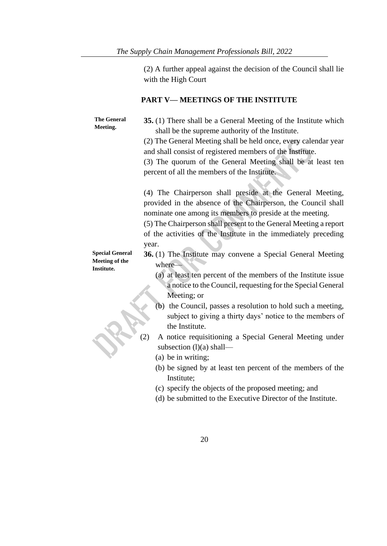(2) A further appeal against the decision of the Council shall lie with the High Court

# **PART V— MEETINGS OF THE INSTITUTE**

| <b>The General</b><br>Meeting.                                | 35. (1) There shall be a General Meeting of the Institute which<br>shall be the supreme authority of the Institute.<br>(2) The General Meeting shall be held once, every calendar year<br>and shall consist of registered members of the Institute.<br>(3) The quorum of the General Meeting shall be at least ten<br>percent of all the members of the Institute.                                                                                                                                                                                                                                                                                                                              |
|---------------------------------------------------------------|-------------------------------------------------------------------------------------------------------------------------------------------------------------------------------------------------------------------------------------------------------------------------------------------------------------------------------------------------------------------------------------------------------------------------------------------------------------------------------------------------------------------------------------------------------------------------------------------------------------------------------------------------------------------------------------------------|
|                                                               | (4) The Chairperson shall preside at the General Meeting,<br>provided in the absence of the Chairperson, the Council shall<br>nominate one among its members to preside at the meeting.<br>(5) The Chairperson shall present to the General Meeting a report<br>of the activities of the Institute in the immediately preceding<br>year.                                                                                                                                                                                                                                                                                                                                                        |
| <b>Special General</b><br><b>Meeting of the</b><br>Institute. | 36. (1) The Institute may convene a Special General Meeting<br>where-<br>(a) at least ten percent of the members of the Institute issue<br>a notice to the Council, requesting for the Special General<br>Meeting; or<br>(b) the Council, passes a resolution to hold such a meeting,<br>subject to giving a thirty days' notice to the members of<br>the Institute.<br>(2)<br>A notice requisitioning a Special General Meeting under<br>subsection $(l)(a)$ shall—<br>(a) be in writing;<br>(b) be signed by at least ten percent of the members of the<br>Institute;<br>(c) specify the objects of the proposed meeting; and<br>(d) be submitted to the Executive Director of the Institute. |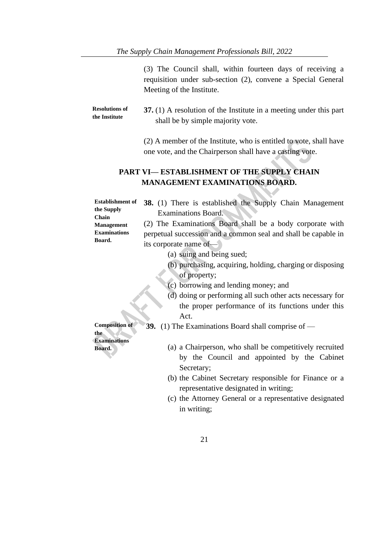(3) The Council shall, within fourteen days of receiving a requisition under sub-section (2), convene a Special General Meeting of the Institute.

| <b>Resolutions of</b> | 37. (1) A resolution of the Institute in a meeting under this part |
|-----------------------|--------------------------------------------------------------------|
| the Institute         | shall be by simple majority vote.                                  |

(2) A member of the Institute, who is entitled to vote, shall have one vote, and the Chairperson shall have a casting vote.

 $\overline{\mathcal{L}}$ 

18.

### **PART VI— ESTABLISHMENT OF THE SUPPLY CHAIN MANAGEMENT EXAMINATIONS BOARD.**

| <b>Establishment of</b>    | <b>38.</b> (1) There is established the Supply Chain Management |  |  |  |
|----------------------------|-----------------------------------------------------------------|--|--|--|
| the Supply<br><b>Chain</b> | <b>Examinations Board.</b>                                      |  |  |  |
| <b>Management</b>          | (2) The Examinations Board shall be a body corporate with       |  |  |  |
| <b>Examinations</b>        | perpetual succession and a common seal and shall be capable in  |  |  |  |
| Board.                     | its corporate name of-                                          |  |  |  |
|                            | (a) suing and being sued;                                       |  |  |  |
|                            | (b) purchasing, acquiring, holding, charging or disposing       |  |  |  |
|                            | of property;                                                    |  |  |  |
|                            | (c) borrowing and lending money; and                            |  |  |  |
|                            | (d) doing or performing all such other acts necessary for       |  |  |  |
|                            | the proper performance of its functions under this              |  |  |  |
|                            | Act.                                                            |  |  |  |
| <b>Composition of</b>      | <b>39.</b> (1) The Examinations Board shall comprise of $-$     |  |  |  |
| the<br><b>Examinations</b> |                                                                 |  |  |  |
| <b>Board.</b>              | (a) a Chairperson, who shall be competitively recruited         |  |  |  |
|                            | $\mathcal{A}$ and $\mathcal{A}$ and $\mathcal{A}$               |  |  |  |

- by the Council and appointed by the Cabinet Secretary;
- (b) the Cabinet Secretary responsible for Finance or a representative designated in writing;
- (c) the Attorney General or a representative designated in writing;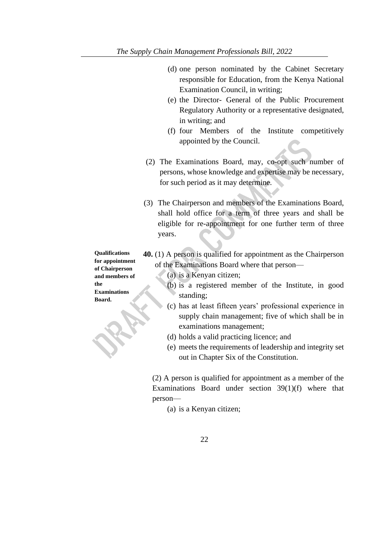- (d) one person nominated by the Cabinet Secretary responsible for Education, from the Kenya National Examination Council, in writing;
- (e) the Director- General of the Public Procurement Regulatory Authority or a representative designated, in writing; and
- (f) four Members of the Institute competitively appointed by the Council.
- (2) The Examinations Board, may, co-opt such number of persons, whose knowledge and expertise may be necessary, for such period as it may determine.
- (3) The Chairperson and members of the Examinations Board, shall hold office for a term of three years and shall be eligible for re-appointment for one further term of three years.

**Qualifications for appointment of Chairperson and members of the Examinations Board.**

- **40.** (1) A person is qualified for appointment as the Chairperson of the Examinations Board where that person—
	- (a) is a Kenyan citizen;
	- (b) is a registered member of the Institute, in good standing;
	- (c) has at least fifteen years' professional experience in supply chain management; five of which shall be in examinations management;
	- (d) holds a valid practicing licence; and
	- (e) meets the requirements of leadership and integrity set out in Chapter Six of the Constitution.

(2) A person is qualified for appointment as a member of the Examinations Board under section 39(1)(f) where that person—

(a) is a Kenyan citizen;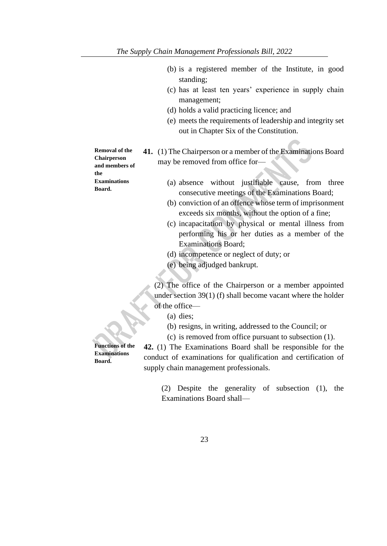- (b) is a registered member of the Institute, in good standing;
- (c) has at least ten years' experience in supply chain management;
- (d) holds a valid practicing licence; and
- (e) meets the requirements of leadership and integrity set out in Chapter Six of the Constitution.

**Removal of the Chairperson and members of the Examinations Board.**

- **41.** (1) The Chairperson or a member of the Examinations Board may be removed from office for—
	- (a) absence without justifiable cause, from three consecutive meetings of the Examinations Board;
	- (b) conviction of an offence whose term of imprisonment exceeds six months, without the option of a fine;
	- (c) incapacitation by physical or mental illness from performing his or her duties as a member of the Examinations Board;
	- (d) incompetence or neglect of duty; or
	- (e) being adjudged bankrupt.

(2) The office of the Chairperson or a member appointed under section 39(1) (f) shall become vacant where the holder of the office—

- (a) dies;
- (b) resigns, in writing, addressed to the Council; or (c) is removed from office pursuant to subsection (1).

**Functions of the Examinations Board.**

**42.** (1) The Examinations Board shall be responsible for the conduct of examinations for qualification and certification of supply chain management professionals.

> (2) Despite the generality of subsection (1), the Examinations Board shall—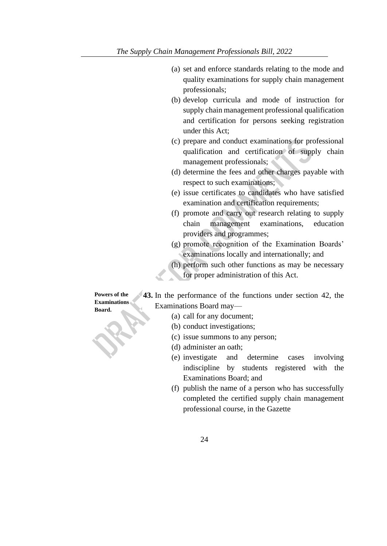- (a) set and enforce standards relating to the mode and quality examinations for supply chain management professionals;
- (b) develop curricula and mode of instruction for supply chain management professional qualification and certification for persons seeking registration under this Act;
- (c) prepare and conduct examinations for professional qualification and certification of supply chain management professionals;
- (d) determine the fees and other charges payable with respect to such examinations;
- (e) issue certificates to candidates who have satisfied examination and certification requirements;
- (f) promote and carry out research relating to supply chain management examinations, education providers and programmes;
- (g) promote recognition of the Examination Boards' examinations locally and internationally; and
- (h) perform such other functions as may be necessary for proper administration of this Act.

**Powers of the Examinations Board.**

**43.** In the performance of the functions under section 42, the Examinations Board may—

- (a) call for any document;
- (b) conduct investigations;
- (c) issue summons to any person;
- (d) administer an oath;
- (e) investigate and determine cases involving indiscipline by students registered with the Examinations Board; and
- (f) publish the name of a person who has successfully completed the certified supply chain management professional course, in the Gazette
	- 24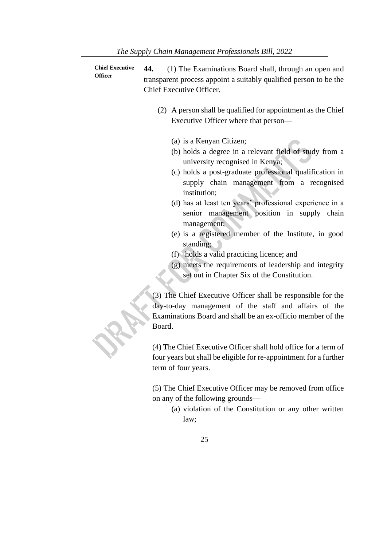**Chief Executive Officer 44.** (1) The Examinations Board shall, through an open and transparent process appoint a suitably qualified person to be the Chief Executive Officer.

- (2) A person shall be qualified for appointment as the Chief Executive Officer where that person—
	- (a) is a Kenyan Citizen;
	- (b) holds a degree in a relevant field of study from a university recognised in Kenya;
	- (c) holds a post-graduate professional qualification in supply chain management from a recognised institution;
	- (d) has at least ten years' professional experience in a senior management position in supply chain management;
	- (e) is a registered member of the Institute, in good standing; \
	- (f) holds a valid practicing licence; and
	- (g) meets the requirements of leadership and integrity set out in Chapter Six of the Constitution.

(3) The Chief Executive Officer shall be responsible for the day-to-day management of the staff and affairs of the Examinations Board and shall be an ex-officio member of the Board.

(4) The Chief Executive Officer shall hold office for a term of four years but shall be eligible for re-appointment for a further term of four years.

(5) The Chief Executive Officer may be removed from office on any of the following grounds—

- (a) violation of the Constitution or any other written law;
	- 25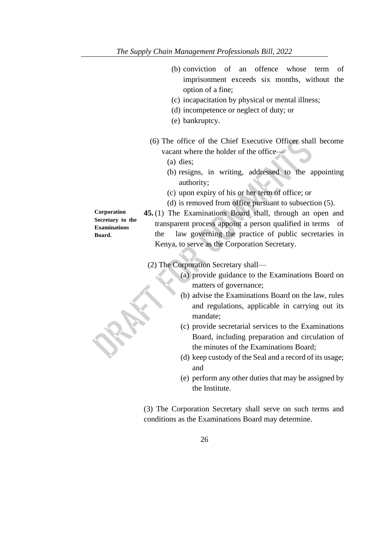- (b) conviction of an offence whose term of imprisonment exceeds six months, without the option of a fine;
- (c) incapacitation by physical or mental illness;
- (d) incompetence or neglect of duty; or
- (e) bankruptcy.
- (6) The office of the Chief Executive Officer shall become vacant where the holder of the office—
	- (a) dies;
	- (b) resigns, in writing, addressed to the appointing authority;
	- (c) upon expiry of his or her term of office; or
	- (d) is removed from office pursuant to subsection (5).

**45.** (1) The Examinations Board shall, through an open and transparent process appoint a person qualified in terms of the law governing the practice of public secretaries in Kenya, to serve as the Corporation Secretary.

(2) The Corporation Secretary shall—

- (a) provide guidance to the Examinations Board on matters of governance;
- (b) advise the Examinations Board on the law, rules and regulations, applicable in carrying out its mandate;
- (c) provide secretarial services to the Examinations Board, including preparation and circulation of the minutes of the Examinations Board;
- (d) keep custody of the Seal and a record of its usage; and
- (e) perform any other duties that may be assigned by the Institute.

(3) The Corporation Secretary shall serve on such terms and conditions as the Examinations Board may determine.

**Corporation Secretary to the Examinations Board.**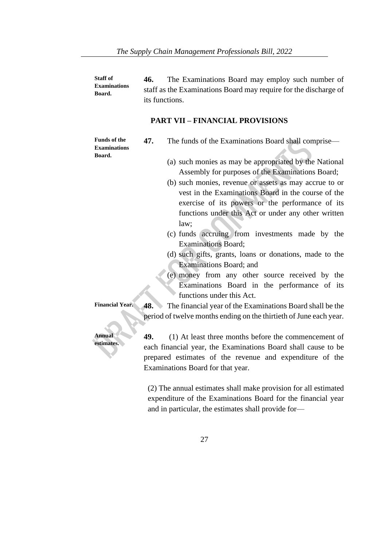**Staff of Examinations Board. 46.** The Examinations Board may employ such number of staff as the Examinations Board may require for the discharge of its functions.

#### **PART VII – FINANCIAL PROVISIONS**

**Funds of the Examinations Board.**

- **47.** The funds of the Examinations Board shall comprise—
	- (a) such monies as may be appropriated by the National Assembly for purposes of the Examinations Board;
	- (b) such monies, revenue or assets as may accrue to or vest in the Examinations Board in the course of the exercise of its powers or the performance of its functions under this Act or under any other written law;
	- (c) funds accruing from investments made by the Examinations Board;
	- (d) such gifts, grants, loans or donations, made to the Examinations Board; and
	- (e) money from any other source received by the Examinations Board in the performance of its functions under this Act.

**Financial Year. 48.** The financial year of the Examinations Board shall be the period of twelve months ending on the thirtieth of June each year.

> **49.** (1) At least three months before the commencement of each financial year, the Examinations Board shall cause to be prepared estimates of the revenue and expenditure of the Examinations Board for that year.

(2) The annual estimates shall make provision for all estimated expenditure of the Examinations Board for the financial year and in particular, the estimates shall provide for—

**Annual estimates.**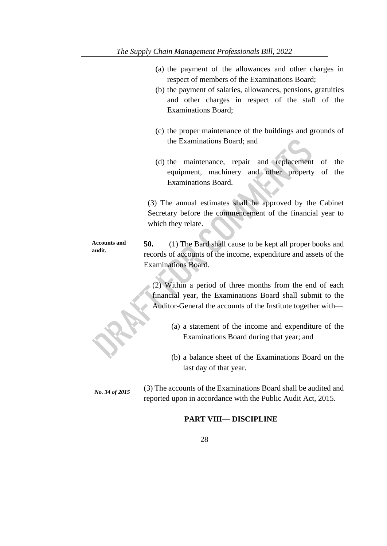- (a) the payment of the allowances and other charges in respect of members of the Examinations Board;
- (b) the payment of salaries, allowances, pensions, gratuities and other charges in respect of the staff of the Examinations Board;
- (c) the proper maintenance of the buildings and grounds of the Examinations Board; and
- (d) the maintenance, repair and replacement of the equipment, machinery and other property of the Examinations Board.

(3) The annual estimates shall be approved by the Cabinet Secretary before the commencement of the financial year to which they relate.

**Accounts and audit. 50.** (1) The Bard shall cause to be kept all proper books and records of accounts of the income, expenditure and assets of the Examinations Board.

> (2) Within a period of three months from the end of each financial year, the Examinations Board shall submit to the Auditor-General the accounts of the Institute together with—

- (a) a statement of the income and expenditure of the Examinations Board during that year; and
- (b) a balance sheet of the Examinations Board on the last day of that year.

*No. 34 of 2015* (3) The accounts of the Examinations Board shall be audited and reported upon in accordance with the Public Audit Act, 2015.

#### **PART VIII— DISCIPLINE**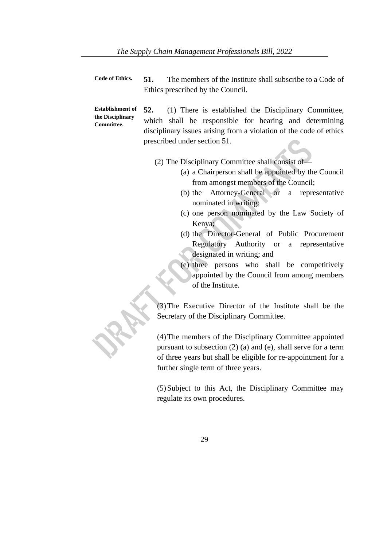| <b>Code of Ethics.</b> | 51.                               | The members of the Institute shall subscribe to a Code of |  |
|------------------------|-----------------------------------|-----------------------------------------------------------|--|
|                        | Ethics prescribed by the Council. |                                                           |  |

**Establishment of the Disciplinary Committee. 52.** (1) There is established the Disciplinary Committee, which shall be responsible for hearing and determining disciplinary issues arising from a violation of the code of ethics prescribed under section 51.

(2) The Disciplinary Committee shall consist of—

- (a) a Chairperson shall be appointed by the Council from amongst members of the Council;
- (b) the Attorney-General or a representative nominated in writing;
- (c) one person nominated by the Law Society of Kenya;
- (d) the Director-General of Public Procurement Regulatory Authority or a representative designated in writing; and
- (e) three persons who shall be competitively appointed by the Council from among members of the Institute.

(3)The Executive Director of the Institute shall be the Secretary of the Disciplinary Committee.

(4)The members of the Disciplinary Committee appointed pursuant to subsection (2) (a) and (e), shall serve for a term of three years but shall be eligible for re-appointment for a further single term of three years.

(5)Subject to this Act, the Disciplinary Committee may regulate its own procedures.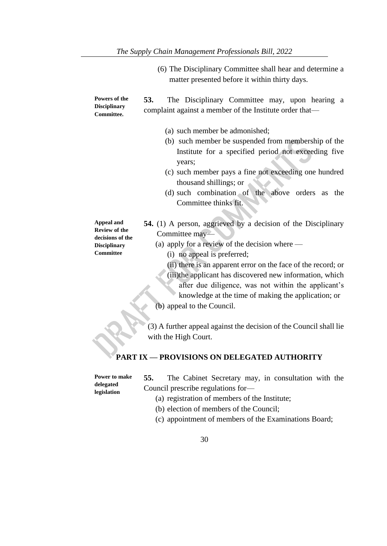(6) The Disciplinary Committee shall hear and determine a matter presented before it within thirty days.

| Powers of the<br><b>Disciplinary</b><br>Committee.                                                | 53.<br>The Disciplinary Committee may, upon hearing a<br>complaint against a member of the Institute order that-                                                                                                                                                                                                                                                                                                                                                                                                   |  |  |  |  |
|---------------------------------------------------------------------------------------------------|--------------------------------------------------------------------------------------------------------------------------------------------------------------------------------------------------------------------------------------------------------------------------------------------------------------------------------------------------------------------------------------------------------------------------------------------------------------------------------------------------------------------|--|--|--|--|
|                                                                                                   | (a) such member be admonished;<br>(b) such member be suspended from membership of the<br>Institute for a specified period not exceeding five<br>years;<br>(c) such member pays a fine not exceeding one hundred<br>thousand shillings; or<br>(d) such combination of the above orders as<br>the<br>Committee thinks fit.                                                                                                                                                                                           |  |  |  |  |
| <b>Appeal and</b><br><b>Review of the</b><br>decisions of the<br><b>Disciplinary</b><br>Committee | 54. (1) A person, aggrieved by a decision of the Disciplinary<br>Committee may-<br>(a) apply for a review of the decision where $-$<br>(i) no appeal is preferred;<br>(ii) there is an apparent error on the face of the record; or<br>(iii) the applicant has discovered new information, which<br>after due diligence, was not within the applicant's<br>knowledge at the time of making the application; or<br>(b) appeal to the Council.<br>(3) A further appeal against the decision of the Council shall lie |  |  |  |  |
|                                                                                                   | with the High Court.                                                                                                                                                                                                                                                                                                                                                                                                                                                                                               |  |  |  |  |
| PART IX - PROVISIONS ON DELEGATED AUTHORITY                                                       |                                                                                                                                                                                                                                                                                                                                                                                                                                                                                                                    |  |  |  |  |

| Power to make<br>delegated<br>legislation | 55.<br>The Cabinet Secretary may, in consultation with the<br>Council prescribe regulations for-<br>(a) registration of members of the Institute; |  |  |  |  |  |  |
|-------------------------------------------|---------------------------------------------------------------------------------------------------------------------------------------------------|--|--|--|--|--|--|
|                                           | (b) election of members of the Council;                                                                                                           |  |  |  |  |  |  |

- (c) appointment of members of the Examinations Board;
	- 30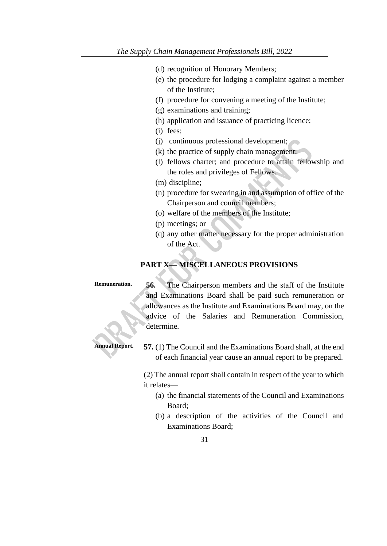- (d) recognition of Honorary Members;
- (e) the procedure for lodging a complaint against a member of the Institute;
- (f) procedure for convening a meeting of the Institute;
- (g) examinations and training;
- (h) application and issuance of practicing licence;
- (i) fees;
- (j) continuous professional development;
- (k) the practice of supply chain management;
- (l) fellows charter; and procedure to attain fellowship and the roles and privileges of Fellows.
- (m) discipline;
- (n) procedure for swearing in and assumption of office of the Chairperson and council members;
- (o) welfare of the members of the Institute;
- (p) meetings; or
- (q) any other matter necessary for the proper administration of the Act.

#### **PART X— MISCELLANEOUS PROVISIONS**

**Remuneration. 56.** The Chairperson members and the staff of the Institute and Examinations Board shall be paid such remuneration or allowances as the Institute and Examinations Board may, on the advice of the Salaries and Remuneration Commission, determine.

**Annual Report. 57.** (1) The Council and the Examinations Board shall, at the end of each financial year cause an annual report to be prepared.

> (2) The annual report shall contain in respect of the year to which it relates—

- (a) the financial statements of the Council and Examinations Board;
- (b) a description of the activities of the Council and Examinations Board;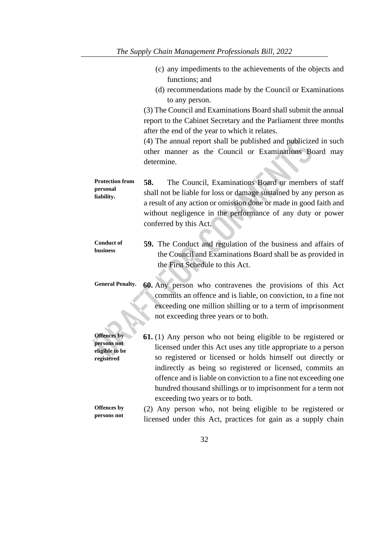- (c) any impediments to the achievements of the objects and functions; and (d) recommendations made by the Council or Examinations to any person. (3) The Council and Examinations Board shall submit the annual report to the Cabinet Secretary and the Parliament three months after the end of the year to which it relates. (4) The annual report shall be published and publicized in such other manner as the Council or Examinations Board may determine. **Protection from personal liability. 58.** The Council, Examinations Board or members of staff shall not be liable for loss or damage sustained by any person as a result of any action or omission done or made in good faith and without negligence in the performance of any duty or power conferred by this Act. **Conduct of business 59.** The Conduct and regulation of the business and affairs of the Council and Examinations Board shall be as provided in the First Schedule to this Act. **General Penalty. 60.** Any person who contravenes the provisions of this Act commits an offence and is liable, on conviction, to a fine not exceeding one million shilling or to a term of imprisonment not exceeding three years or to both. **Offences by persons not eligible to be registered 61.** (1) Any person who not being eligible to be registered or licensed under this Act uses any title appropriate to a person so registered or licensed or holds himself out directly or indirectly as being so registered or licensed, commits an offence and is liable on conviction to a fine not exceeding one hundred thousand shillings or to imprisonment for a term not exceeding two years or to both. **Offences by persons not**  (2) Any person who, not being eligible to be registered or licensed under this Act, practices for gain as a supply chain
	- 32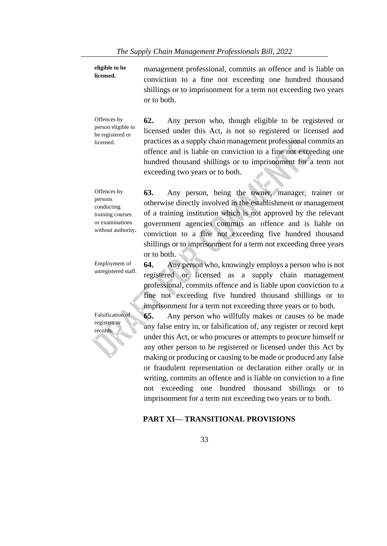**eligible to be licensed.** management professional, commits an offence and is liable on conviction to a fine not exceeding one hundred thousand shillings or to imprisonment for a term not exceeding two years or to both.

Offences by person eligible to be registered or licensed. **62.** Any person who, though eligible to be registered or licensed under this Act, is not so registered or licensed and practices as a supply chain management professional commits an offence and is liable on conviction to a fine not exceeding one hundred thousand shillings or to imprisonment for a term not exceeding two years or to both.

Offences by persons conducting training courses or examinations without authority**. 63.** Any person, being the owner, manager, trainer or otherwise directly involved in the establishment or management of a training institution which is not approved by the relevant government agencies commits an offence and is liable on conviction to a fine not exceeding five hundred thousand shillings or to imprisonment for a term not exceeding three years or to both.

Employment of

Falsification of registers or records.

unregistered staff. **64.** Any person who, knowingly employs a person who is not registered or licensed as a supply chain management professional, commits offence and is liable upon conviction to a fine not exceeding five hundred thousand shillings or to imprisonment for a term not exceeding three years or to both.

> **65.** Any person who willfully makes or causes to be made any false entry in, or falsification of, any register or record kept under this Act, or who procures or attempts to procure himself or any other person to be registered or licensed under this Act by making or producing or causing to be made or produced any false or fraudulent representation or declaration either orally or in writing, commits an offence and is liable on conviction to a fine not exceeding one hundred thousand shillings or to imprisonment for a term not exceeding two years or to both.

#### **PART XI— TRANSITIONAL PROVISIONS**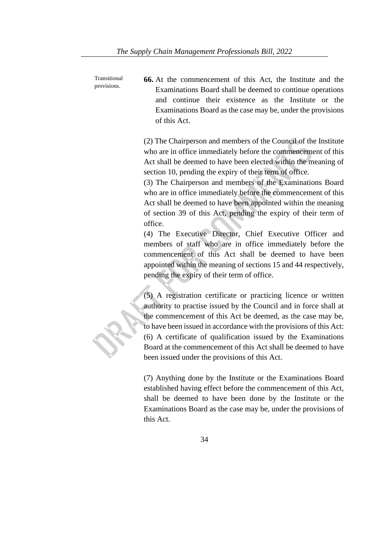Transitional provisions. **66.** At the commencement of this Act, the Institute and the Examinations Board shall be deemed to continue operations and continue their existence as the Institute or the Examinations Board as the case may be, under the provisions of this Act.

> (2) The Chairperson and members of the Council of the Institute who are in office immediately before the commencement of this Act shall be deemed to have been elected within the meaning of section 10, pending the expiry of their term of office.

> (3) The Chairperson and members of the Examinations Board who are in office immediately before the commencement of this Act shall be deemed to have been appointed within the meaning of section 39 of this Act, pending the expiry of their term of office.

> (4) The Executive Director, Chief Executive Officer and members of staff who are in office immediately before the commencement of this Act shall be deemed to have been appointed within the meaning of sections 15 and 44 respectively, pending the expiry of their term of office.

> (5) A registration certificate or practicing licence or written authority to practise issued by the Council and in force shall at the commencement of this Act be deemed, as the case may be, to have been issued in accordance with the provisions of this Act: (6) A certificate of qualification issued by the Examinations Board at the commencement of this Act shall be deemed to have been issued under the provisions of this Act.

> (7) Anything done by the Institute or the Examinations Board established having effect before the commencement of this Act, shall be deemed to have been done by the Institute or the Examinations Board as the case may be, under the provisions of this Act.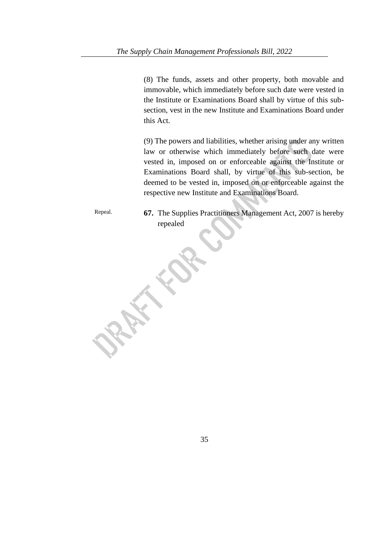(8) The funds, assets and other property, both movable and immovable, which immediately before such date were vested in the Institute or Examinations Board shall by virtue of this subsection, vest in the new Institute and Examinations Board under this Act.

(9) The powers and liabilities, whether arising under any written law or otherwise which immediately before such date were vested in, imposed on or enforceable against the Institute or Examinations Board shall, by virtue of this sub-section, be deemed to be vested in, imposed on or enforceable against the respective new Institute and Examinations Board.

Repeal. **67.** The Supplies Practitioners Management Act, 2007 is hereby repealed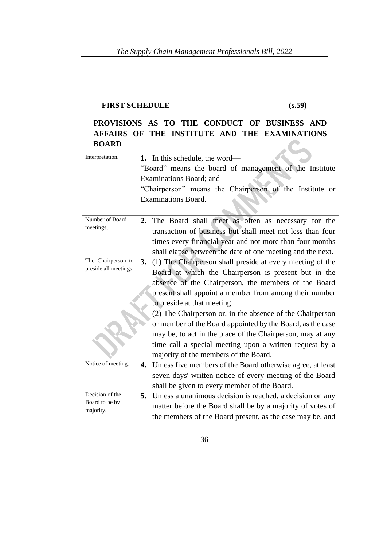# **FIRST SCHEDULE (s.59)**

#### **PROVISIONS AS TO THE CONDUCT OF BUSINESS AND AFFAIRS OF THE INSTITUTE AND THE EXAMINATIONS BOARD**   $\overline{\phantom{a}}$  $\lambda$

| Interpretation.                   |    | 1. In this schedule, the word—<br>"Board" means the board of management of the Institute<br>Examinations Board; and<br>"Chairperson" means the Chairperson of the Institute or<br><b>Examinations Board.</b> |
|-----------------------------------|----|--------------------------------------------------------------------------------------------------------------------------------------------------------------------------------------------------------------|
| Number of Board                   |    | 2. The Board shall meet as often as necessary for the                                                                                                                                                        |
| meetings.                         |    | transaction of business but shall meet not less than four                                                                                                                                                    |
|                                   |    | times every financial year and not more than four months<br>shall elapse between the date of one meeting and the next.                                                                                       |
| The Chairperson to                | 3. | (1) The Chairperson shall preside at every meeting of the                                                                                                                                                    |
| preside all meetings.             |    | Board at which the Chairperson is present but in the                                                                                                                                                         |
|                                   |    | absence of the Chairperson, the members of the Board                                                                                                                                                         |
|                                   |    | present shall appoint a member from among their number                                                                                                                                                       |
|                                   |    | to preside at that meeting.                                                                                                                                                                                  |
|                                   |    | (2) The Chairperson or, in the absence of the Chairperson                                                                                                                                                    |
|                                   |    | or member of the Board appointed by the Board, as the case                                                                                                                                                   |
|                                   |    | may be, to act in the place of the Chairperson, may at any                                                                                                                                                   |
|                                   |    | time call a special meeting upon a written request by a                                                                                                                                                      |
|                                   |    | majority of the members of the Board.                                                                                                                                                                        |
| Notice of meeting.                |    | <b>4.</b> Unless five members of the Board otherwise agree, at least                                                                                                                                         |
|                                   |    | seven days' written notice of every meeting of the Board                                                                                                                                                     |
|                                   |    | shall be given to every member of the Board.                                                                                                                                                                 |
| Decision of the<br>Board to be by |    | 5. Unless a unanimous decision is reached, a decision on any                                                                                                                                                 |
| majority.                         |    | matter before the Board shall be by a majority of votes of                                                                                                                                                   |
|                                   |    | the members of the Board present, as the case may be, and                                                                                                                                                    |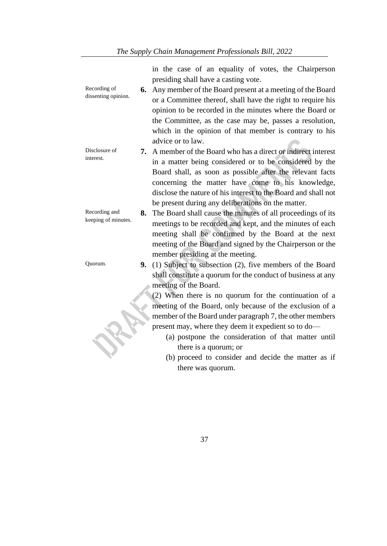in the case of an equality of votes, the Chairperson presiding shall have a casting vote.

- Recording of dissenting opinion. **6.** Any member of the Board present at a meeting of the Board or a Committee thereof, shall have the right to require his opinion to be recorded in the minutes where the Board or the Committee, as the case may be, passes a resolution, which in the opinion of that member is contrary to his advice or to law.
- Disclosure of interest. **7.** A member of the Board who has a direct or indirect interest in a matter being considered or to be considered by the Board shall, as soon as possible after the relevant facts concerning the matter have come to his knowledge, disclose the nature of his interest to the Board and shall not be present during any deliberations on the matter.
- Recording and keeping of minutes. **8.** The Board shall cause the minutes of all proceedings of its meetings to be recorded and kept, and the minutes of each meeting shall be confirmed by the Board at the next meeting of the Board and signed by the Chairperson or the member presiding at the meeting.
- Quorum. **9.** (1) Subject to subsection (2), five members of the Board shall constitute a quorum for the conduct of business at any meeting of the Board.

(2) When there is no quorum for the continuation of a meeting of the Board, only because of the exclusion of a member of the Board under paragraph 7, the other members present may, where they deem it expedient so to do—

- (a) postpone the consideration of that matter until there is a quorum; or
- (b) proceed to consider and decide the matter as if there was quorum.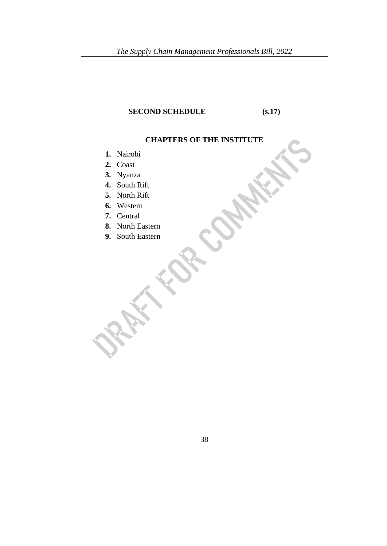# **SECOND SCHEDULE** (s.17)

# **CHAPTERS OF THE INSTITUTE**

- **1.** Nairobi
- **2.** Coast
- **3.** Nyanza
- **4.** South Rift
- **5.** North Rift
- **6.** Western
- **7.** Central
- **8.** North Eastern
- **9.** South Eastern